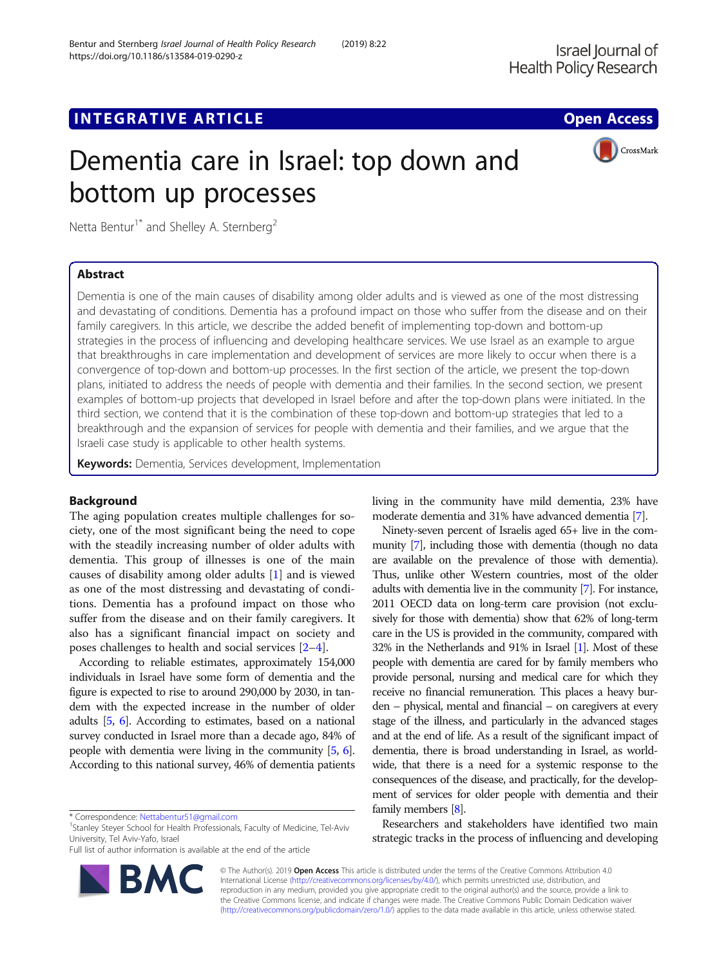## **INTEGRATIVE ARTICLE Example 20 and 20 and 20 and 20 and 20 and 20 and 20 and 20 and 20 and 20 and 20 and 20 and 20 and 20 and 20 and 20 and 20 and 20 and 20 and 20 and 20 and 20 and 20 and 20 and 20 and 20 and 20 and 20**



# Dementia care in Israel: top down and bottom up processes

Netta Bentur<sup>1\*</sup> and Shelley A. Sternberg<sup>2</sup>

## Abstract

Dementia is one of the main causes of disability among older adults and is viewed as one of the most distressing and devastating of conditions. Dementia has a profound impact on those who suffer from the disease and on their family caregivers. In this article, we describe the added benefit of implementing top-down and bottom-up strategies in the process of influencing and developing healthcare services. We use Israel as an example to argue that breakthroughs in care implementation and development of services are more likely to occur when there is a convergence of top-down and bottom-up processes. In the first section of the article, we present the top-down plans, initiated to address the needs of people with dementia and their families. In the second section, we present examples of bottom-up projects that developed in Israel before and after the top-down plans were initiated. In the third section, we contend that it is the combination of these top-down and bottom-up strategies that led to a breakthrough and the expansion of services for people with dementia and their families, and we argue that the Israeli case study is applicable to other health systems.

Keywords: Dementia, Services development, Implementation

## Background

The aging population creates multiple challenges for society, one of the most significant being the need to cope with the steadily increasing number of older adults with dementia. This group of illnesses is one of the main causes of disability among older adults [\[1](#page-5-0)] and is viewed as one of the most distressing and devastating of conditions. Dementia has a profound impact on those who suffer from the disease and on their family caregivers. It also has a significant financial impact on society and poses challenges to health and social services [[2](#page-5-0)–[4\]](#page-5-0).

According to reliable estimates, approximately 154,000 individuals in Israel have some form of dementia and the figure is expected to rise to around 290,000 by 2030, in tandem with the expected increase in the number of older adults [\[5,](#page-5-0) [6\]](#page-5-0). According to estimates, based on a national survey conducted in Israel more than a decade ago, 84% of people with dementia were living in the community [[5](#page-5-0), [6](#page-5-0)]. According to this national survey, 46% of dementia patients

Full list of author information is available at the end of the article



living in the community have mild dementia, 23% have moderate dementia and 31% have advanced dementia [\[7](#page-5-0)].

Ninety-seven percent of Israelis aged 65+ live in the community [[7](#page-5-0)], including those with dementia (though no data are available on the prevalence of those with dementia). Thus, unlike other Western countries, most of the older adults with dementia live in the community [[7](#page-5-0)]. For instance, 2011 OECD data on long-term care provision (not exclusively for those with dementia) show that 62% of long-term care in the US is provided in the community, compared with 32% in the Netherlands and 91% in Israel [\[1](#page-5-0)]. Most of these people with dementia are cared for by family members who provide personal, nursing and medical care for which they receive no financial remuneration. This places a heavy burden – physical, mental and financial – on caregivers at every stage of the illness, and particularly in the advanced stages and at the end of life. As a result of the significant impact of dementia, there is broad understanding in Israel, as worldwide, that there is a need for a systemic response to the consequences of the disease, and practically, for the development of services for older people with dementia and their family members [\[8](#page-5-0)].

Researchers and stakeholders have identified two main strategic tracks in the process of influencing and developing

© The Author(s). 2019 Open Access This article is distributed under the terms of the Creative Commons Attribution 4.0 International License [\(http://creativecommons.org/licenses/by/4.0/](http://creativecommons.org/licenses/by/4.0/)), which permits unrestricted use, distribution, and reproduction in any medium, provided you give appropriate credit to the original author(s) and the source, provide a link to the Creative Commons license, and indicate if changes were made. The Creative Commons Public Domain Dedication waiver [\(http://creativecommons.org/publicdomain/zero/1.0/](http://creativecommons.org/publicdomain/zero/1.0/)) applies to the data made available in this article, unless otherwise stated.

<sup>\*</sup> Correspondence: [Nettabentur51@gmail.com](mailto:Nettabentur51@gmail.com) <sup>1</sup>

<sup>&</sup>lt;sup>1</sup>Stanley Steyer School for Health Professionals, Faculty of Medicine, Tel-Aviv University, Tel Aviv-Yafo, Israel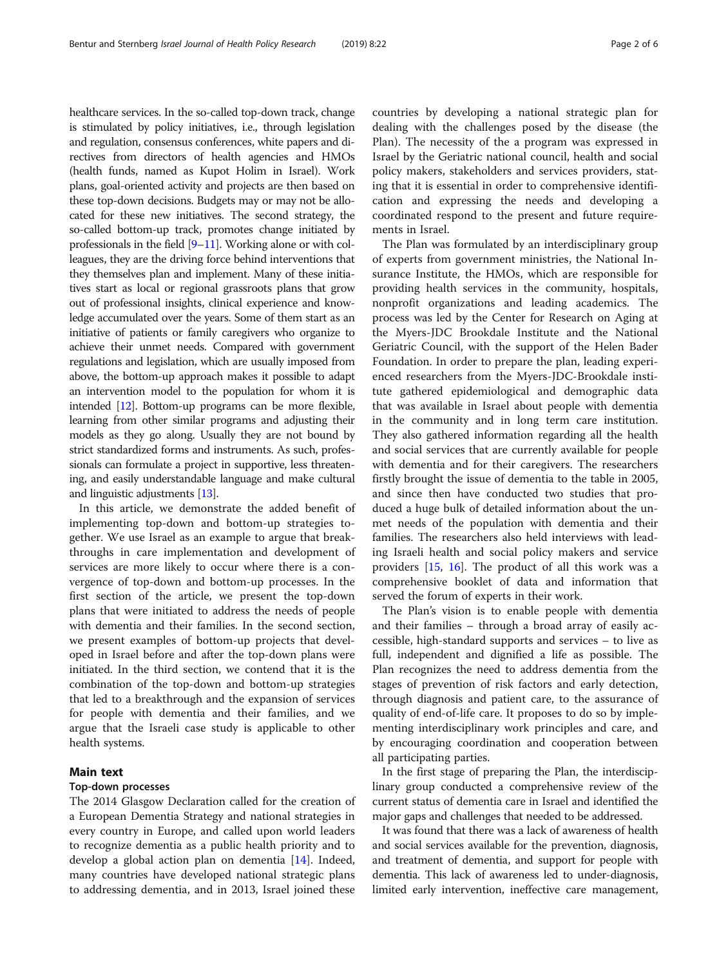healthcare services. In the so-called top-down track, change is stimulated by policy initiatives, i.e., through legislation and regulation, consensus conferences, white papers and directives from directors of health agencies and HMOs (health funds, named as Kupot Holim in Israel). Work plans, goal-oriented activity and projects are then based on these top-down decisions. Budgets may or may not be allocated for these new initiatives. The second strategy, the so-called bottom-up track, promotes change initiated by professionals in the field [[9](#page-5-0)–[11](#page-5-0)]. Working alone or with colleagues, they are the driving force behind interventions that they themselves plan and implement. Many of these initiatives start as local or regional grassroots plans that grow out of professional insights, clinical experience and knowledge accumulated over the years. Some of them start as an initiative of patients or family caregivers who organize to achieve their unmet needs. Compared with government regulations and legislation, which are usually imposed from above, the bottom-up approach makes it possible to adapt an intervention model to the population for whom it is intended [\[12](#page-5-0)]. Bottom-up programs can be more flexible, learning from other similar programs and adjusting their models as they go along. Usually they are not bound by strict standardized forms and instruments. As such, professionals can formulate a project in supportive, less threatening, and easily understandable language and make cultural and linguistic adjustments [[13\]](#page-5-0).

In this article, we demonstrate the added benefit of implementing top-down and bottom-up strategies together. We use Israel as an example to argue that breakthroughs in care implementation and development of services are more likely to occur where there is a convergence of top-down and bottom-up processes. In the first section of the article, we present the top-down plans that were initiated to address the needs of people with dementia and their families. In the second section, we present examples of bottom-up projects that developed in Israel before and after the top-down plans were initiated. In the third section, we contend that it is the combination of the top-down and bottom-up strategies that led to a breakthrough and the expansion of services for people with dementia and their families, and we argue that the Israeli case study is applicable to other health systems.

## Main text

## Top-down processes

The 2014 Glasgow Declaration called for the creation of a European Dementia Strategy and national strategies in every country in Europe, and called upon world leaders to recognize dementia as a public health priority and to develop a global action plan on dementia [\[14\]](#page-5-0). Indeed, many countries have developed national strategic plans to addressing dementia, and in 2013, Israel joined these

countries by developing a national strategic plan for dealing with the challenges posed by the disease (the Plan). The necessity of the a program was expressed in Israel by the Geriatric national council, health and social policy makers, stakeholders and services providers, stating that it is essential in order to comprehensive identification and expressing the needs and developing a coordinated respond to the present and future requirements in Israel.

The Plan was formulated by an interdisciplinary group of experts from government ministries, the National Insurance Institute, the HMOs, which are responsible for providing health services in the community, hospitals, nonprofit organizations and leading academics. The process was led by the Center for Research on Aging at the Myers-JDC Brookdale Institute and the National Geriatric Council, with the support of the Helen Bader Foundation. In order to prepare the plan, leading experienced researchers from the Myers-JDC-Brookdale institute gathered epidemiological and demographic data that was available in Israel about people with dementia in the community and in long term care institution. They also gathered information regarding all the health and social services that are currently available for people with dementia and for their caregivers. The researchers firstly brought the issue of dementia to the table in 2005, and since then have conducted two studies that produced a huge bulk of detailed information about the unmet needs of the population with dementia and their families. The researchers also held interviews with leading Israeli health and social policy makers and service providers [[15](#page-5-0), [16\]](#page-5-0). The product of all this work was a comprehensive booklet of data and information that served the forum of experts in their work.

The Plan's vision is to enable people with dementia and their families – through a broad array of easily accessible, high-standard supports and services – to live as full, independent and dignified a life as possible. The Plan recognizes the need to address dementia from the stages of prevention of risk factors and early detection, through diagnosis and patient care, to the assurance of quality of end-of-life care. It proposes to do so by implementing interdisciplinary work principles and care, and by encouraging coordination and cooperation between all participating parties.

In the first stage of preparing the Plan, the interdisciplinary group conducted a comprehensive review of the current status of dementia care in Israel and identified the major gaps and challenges that needed to be addressed.

It was found that there was a lack of awareness of health and social services available for the prevention, diagnosis, and treatment of dementia, and support for people with dementia. This lack of awareness led to under-diagnosis, limited early intervention, ineffective care management,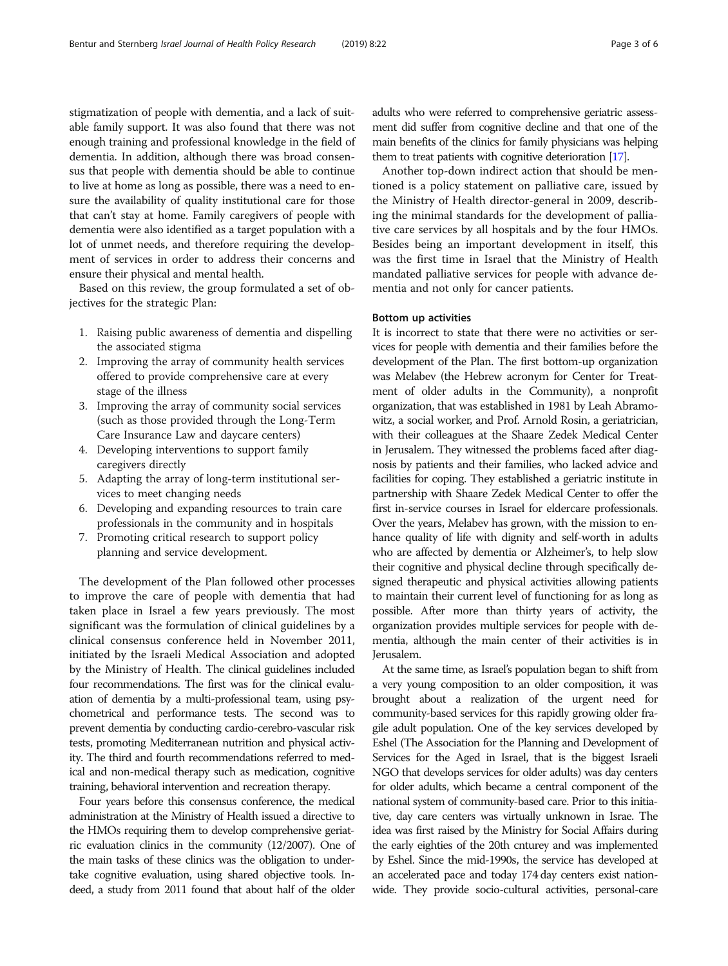stigmatization of people with dementia, and a lack of suitable family support. It was also found that there was not enough training and professional knowledge in the field of dementia. In addition, although there was broad consensus that people with dementia should be able to continue to live at home as long as possible, there was a need to ensure the availability of quality institutional care for those that can't stay at home. Family caregivers of people with dementia were also identified as a target population with a lot of unmet needs, and therefore requiring the development of services in order to address their concerns and ensure their physical and mental health.

Based on this review, the group formulated a set of objectives for the strategic Plan:

- 1. Raising public awareness of dementia and dispelling the associated stigma
- 2. Improving the array of community health services offered to provide comprehensive care at every stage of the illness
- 3. Improving the array of community social services (such as those provided through the Long-Term Care Insurance Law and daycare centers)
- 4. Developing interventions to support family caregivers directly
- 5. Adapting the array of long-term institutional services to meet changing needs
- 6. Developing and expanding resources to train care professionals in the community and in hospitals
- 7. Promoting critical research to support policy planning and service development.

The development of the Plan followed other processes to improve the care of people with dementia that had taken place in Israel a few years previously. The most significant was the formulation of clinical guidelines by a clinical consensus conference held in November 2011, initiated by the Israeli Medical Association and adopted by the Ministry of Health. The clinical guidelines included four recommendations. The first was for the clinical evaluation of dementia by a multi-professional team, using psychometrical and performance tests. The second was to prevent dementia by conducting cardio-cerebro-vascular risk tests, promoting Mediterranean nutrition and physical activity. The third and fourth recommendations referred to medical and non-medical therapy such as medication, cognitive training, behavioral intervention and recreation therapy.

Four years before this consensus conference, the medical administration at the Ministry of Health issued a directive to the HMOs requiring them to develop comprehensive geriatric evaluation clinics in the community (12/2007). One of the main tasks of these clinics was the obligation to undertake cognitive evaluation, using shared objective tools. Indeed, a study from 2011 found that about half of the older adults who were referred to comprehensive geriatric assessment did suffer from cognitive decline and that one of the main benefits of the clinics for family physicians was helping them to treat patients with cognitive deterioration [\[17](#page-5-0)].

Another top-down indirect action that should be mentioned is a policy statement on palliative care, issued by the Ministry of Health director-general in 2009, describing the minimal standards for the development of palliative care services by all hospitals and by the four HMOs. Besides being an important development in itself, this was the first time in Israel that the Ministry of Health mandated palliative services for people with advance dementia and not only for cancer patients.

#### Bottom up activities

It is incorrect to state that there were no activities or services for people with dementia and their families before the development of the Plan. The first bottom-up organization was Melabev (the Hebrew acronym for Center for Treatment of older adults in the Community), a nonprofit organization, that was established in 1981 by Leah Abramowitz, a social worker, and Prof. Arnold Rosin, a geriatrician, with their colleagues at the Shaare Zedek Medical Center in Jerusalem. They witnessed the problems faced after diagnosis by patients and their families, who lacked advice and facilities for coping. They established a geriatric institute in partnership with Shaare Zedek Medical Center to offer the first in-service courses in Israel for eldercare professionals. Over the years, Melabev has grown, with the mission to enhance quality of life with dignity and self-worth in adults who are affected by dementia or Alzheimer's, to help slow their cognitive and physical decline through specifically designed therapeutic and physical activities allowing patients to maintain their current level of functioning for as long as possible. After more than thirty years of activity, the organization provides multiple services for people with dementia, although the main center of their activities is in Jerusalem.

At the same time, as Israel's population began to shift from a very young composition to an older composition, it was brought about a realization of the urgent need for community-based services for this rapidly growing older fragile adult population. One of the key services developed by Eshel (The Association for the Planning and Development of Services for the Aged in Israel, that is the biggest Israeli NGO that develops services for older adults) was day centers for older adults, which became a central component of the national system of community-based care. Prior to this initiative, day care centers was virtually unknown in Israe. The idea was first raised by the Ministry for Social Affairs during the early eighties of the 20th cnturey and was implemented by Eshel. Since the mid-1990s, the service has developed at an accelerated pace and today 174 day centers exist nationwide. They provide socio-cultural activities, personal-care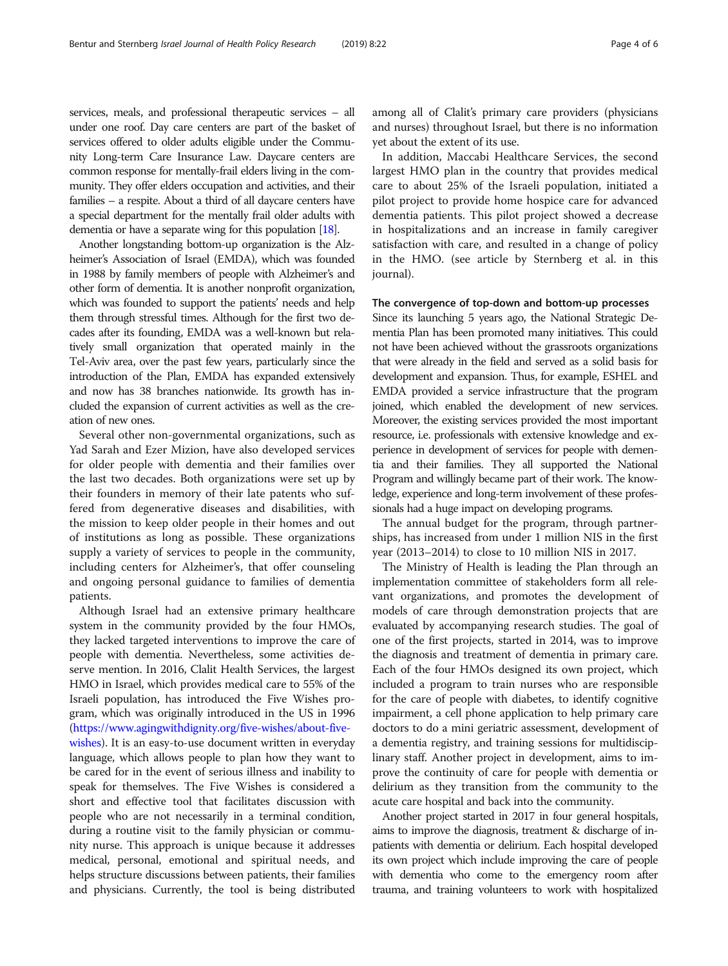services, meals, and professional therapeutic services – all under one roof. Day care centers are part of the basket of services offered to older adults eligible under the Community Long-term Care Insurance Law. Daycare centers are common response for mentally-frail elders living in the community. They offer elders occupation and activities, and their families – a respite. About a third of all daycare centers have a special department for the mentally frail older adults with dementia or have a separate wing for this population [\[18](#page-5-0)].

Another longstanding bottom-up organization is the Alzheimer's Association of Israel (EMDA), which was founded in 1988 by family members of people with Alzheimer's and other form of dementia. It is another nonprofit organization, which was founded to support the patients' needs and help them through stressful times. Although for the first two decades after its founding, EMDA was a well-known but relatively small organization that operated mainly in the Tel-Aviv area, over the past few years, particularly since the introduction of the Plan, EMDA has expanded extensively and now has 38 branches nationwide. Its growth has included the expansion of current activities as well as the creation of new ones.

Several other non-governmental organizations, such as Yad Sarah and Ezer Mizion, have also developed services for older people with dementia and their families over the last two decades. Both organizations were set up by their founders in memory of their late patents who suffered from degenerative diseases and disabilities, with the mission to keep older people in their homes and out of institutions as long as possible. These organizations supply a variety of services to people in the community, including centers for Alzheimer's, that offer counseling and ongoing personal guidance to families of dementia patients.

Although Israel had an extensive primary healthcare system in the community provided by the four HMOs, they lacked targeted interventions to improve the care of people with dementia. Nevertheless, some activities deserve mention. In 2016, Clalit Health Services, the largest HMO in Israel, which provides medical care to 55% of the Israeli population, has introduced the Five Wishes program, which was originally introduced in the US in 1996 ([https://www.agingwithdignity.org/five-wishes/about-five](https://www.agingwithdignity.org/five-wishes/about-five-wishes)[wishes\)](https://www.agingwithdignity.org/five-wishes/about-five-wishes). It is an easy-to-use document written in everyday language, which allows people to plan how they want to be cared for in the event of serious illness and inability to speak for themselves. The Five Wishes is considered a short and effective tool that facilitates discussion with people who are not necessarily in a terminal condition, during a routine visit to the family physician or community nurse. This approach is unique because it addresses medical, personal, emotional and spiritual needs, and helps structure discussions between patients, their families and physicians. Currently, the tool is being distributed among all of Clalit's primary care providers (physicians and nurses) throughout Israel, but there is no information yet about the extent of its use.

In addition, Maccabi Healthcare Services, the second largest HMO plan in the country that provides medical care to about 25% of the Israeli population, initiated a pilot project to provide home hospice care for advanced dementia patients. This pilot project showed a decrease in hospitalizations and an increase in family caregiver satisfaction with care, and resulted in a change of policy in the HMO. (see article by Sternberg et al. in this journal).

#### The convergence of top-down and bottom-up processes

Since its launching 5 years ago, the National Strategic Dementia Plan has been promoted many initiatives. This could not have been achieved without the grassroots organizations that were already in the field and served as a solid basis for development and expansion. Thus, for example, ESHEL and EMDA provided a service infrastructure that the program joined, which enabled the development of new services. Moreover, the existing services provided the most important resource, i.e. professionals with extensive knowledge and experience in development of services for people with dementia and their families. They all supported the National Program and willingly became part of their work. The knowledge, experience and long-term involvement of these professionals had a huge impact on developing programs.

The annual budget for the program, through partnerships, has increased from under 1 million NIS in the first year (2013–2014) to close to 10 million NIS in 2017.

The Ministry of Health is leading the Plan through an implementation committee of stakeholders form all relevant organizations, and promotes the development of models of care through demonstration projects that are evaluated by accompanying research studies. The goal of one of the first projects, started in 2014, was to improve the diagnosis and treatment of dementia in primary care. Each of the four HMOs designed its own project, which included a program to train nurses who are responsible for the care of people with diabetes, to identify cognitive impairment, a cell phone application to help primary care doctors to do a mini geriatric assessment, development of a dementia registry, and training sessions for multidisciplinary staff. Another project in development, aims to improve the continuity of care for people with dementia or delirium as they transition from the community to the acute care hospital and back into the community.

Another project started in 2017 in four general hospitals, aims to improve the diagnosis, treatment & discharge of inpatients with dementia or delirium. Each hospital developed its own project which include improving the care of people with dementia who come to the emergency room after trauma, and training volunteers to work with hospitalized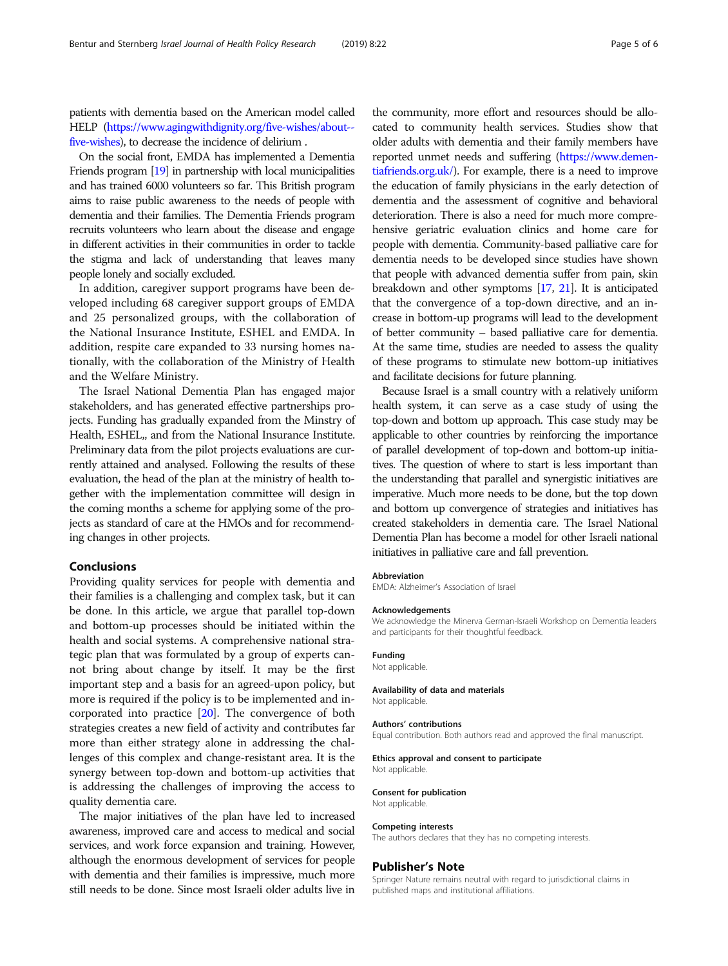patients with dementia based on the American model called HELP [\(https://www.agingwithdignity.org/five-wishes/about-](https://www.agingwithdignity.org/five-wishes/about-five-wishes) [five-wishes](https://www.agingwithdignity.org/five-wishes/about-five-wishes)), to decrease the incidence of delirium .

On the social front, EMDA has implemented a Dementia Friends program [\[19](#page-5-0)] in partnership with local municipalities and has trained 6000 volunteers so far. This British program aims to raise public awareness to the needs of people with dementia and their families. The Dementia Friends program recruits volunteers who learn about the disease and engage in different activities in their communities in order to tackle the stigma and lack of understanding that leaves many people lonely and socially excluded.

In addition, caregiver support programs have been developed including 68 caregiver support groups of EMDA and 25 personalized groups, with the collaboration of the National Insurance Institute, ESHEL and EMDA. In addition, respite care expanded to 33 nursing homes nationally, with the collaboration of the Ministry of Health and the Welfare Ministry.

The Israel National Dementia Plan has engaged major stakeholders, and has generated effective partnerships projects. Funding has gradually expanded from the Minstry of Health, ESHEL,, and from the National Insurance Institute. Preliminary data from the pilot projects evaluations are currently attained and analysed. Following the results of these evaluation, the head of the plan at the ministry of health together with the implementation committee will design in the coming months a scheme for applying some of the projects as standard of care at the HMOs and for recommending changes in other projects.

## Conclusions

Providing quality services for people with dementia and their families is a challenging and complex task, but it can be done. In this article, we argue that parallel top-down and bottom-up processes should be initiated within the health and social systems. A comprehensive national strategic plan that was formulated by a group of experts cannot bring about change by itself. It may be the first important step and a basis for an agreed-upon policy, but more is required if the policy is to be implemented and incorporated into practice [[20](#page-5-0)]. The convergence of both strategies creates a new field of activity and contributes far more than either strategy alone in addressing the challenges of this complex and change-resistant area. It is the synergy between top-down and bottom-up activities that is addressing the challenges of improving the access to quality dementia care.

The major initiatives of the plan have led to increased awareness, improved care and access to medical and social services, and work force expansion and training. However, although the enormous development of services for people with dementia and their families is impressive, much more still needs to be done. Since most Israeli older adults live in

the community, more effort and resources should be allocated to community health services. Studies show that older adults with dementia and their family members have reported unmet needs and suffering [\(https://www.demen](https://www.dementiafriends.org.uk/)[tiafriends.org.uk/\)](https://www.dementiafriends.org.uk/). For example, there is a need to improve the education of family physicians in the early detection of dementia and the assessment of cognitive and behavioral deterioration. There is also a need for much more comprehensive geriatric evaluation clinics and home care for people with dementia. Community-based palliative care for dementia needs to be developed since studies have shown that people with advanced dementia suffer from pain, skin breakdown and other symptoms [\[17,](#page-5-0) [21\]](#page-5-0). It is anticipated that the convergence of a top-down directive, and an increase in bottom-up programs will lead to the development of better community – based palliative care for dementia. At the same time, studies are needed to assess the quality of these programs to stimulate new bottom-up initiatives and facilitate decisions for future planning.

Because Israel is a small country with a relatively uniform health system, it can serve as a case study of using the top-down and bottom up approach. This case study may be applicable to other countries by reinforcing the importance of parallel development of top-down and bottom-up initiatives. The question of where to start is less important than the understanding that parallel and synergistic initiatives are imperative. Much more needs to be done, but the top down and bottom up convergence of strategies and initiatives has created stakeholders in dementia care. The Israel National Dementia Plan has become a model for other Israeli national initiatives in palliative care and fall prevention.

#### Abbreviation

EMDA: Alzheimer's Association of Israel

#### Acknowledgements

We acknowledge the Minerva German-Israeli Workshop on Dementia leaders and participants for their thoughtful feedback.

#### Funding

Not applicable.

#### Availability of data and materials Not applicable.

#### Authors' contributions

Equal contribution. Both authors read and approved the final manuscript.

## Ethics approval and consent to participate

Not applicable.

#### Consent for publication Not applicable.

#### Competing interests

The authors declares that they has no competing interests.

#### Publisher's Note

Springer Nature remains neutral with regard to jurisdictional claims in published maps and institutional affiliations.